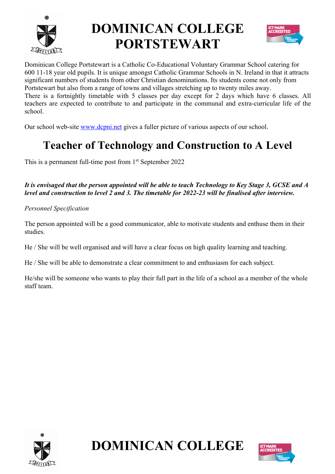

# **DOMINICAN COLLEGE PORTSTEWART**



Dominican College Portstewart is a Catholic Co-Educational Voluntary Grammar School catering for 600 11-18 year old pupils. It is unique amongst Catholic Grammar Schools in N. Ireland in that it attracts significant numbers of students from other Christian denominations. Its students come not only from Portstewart but also from a range of towns and villages stretching up to twenty miles away. There is a fortnightly timetable with 5 classes per day except for 2 days which have 6 classes. All teachers are expected to contribute to and participate in the communal and extra-curricular life of the school.

Our school web-site www.dcpni.net gives a fuller picture of various aspects of our school.

## **Teacher of Technology and Construction to A Level**

This is a permanent full-time post from 1<sup>st</sup> September 2022

*It is envisaged that the person appointed will be able to teach Technology to Key Stage 3, GCSE and A level and construction to level 2 and 3. The timetable for 2022-23 will be finalised after interview.* 

*Personnel Specification*

The person appointed will be a good communicator, able to motivate students and enthuse them in their studies.

He / She will be well organised and will have a clear focus on high quality learning and teaching.

He / She will be able to demonstrate a clear commitment to and enthusiasm for each subject.

He/she will be someone who wants to play their full part in the life of a school as a member of the whole staff team.



**DOMINICAN COLLEGE**